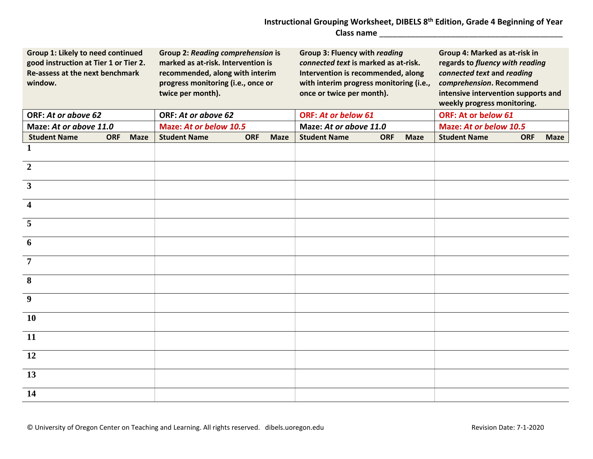## **Instructional Grouping Worksheet, DIBELS 8th Edition, Grade 4 Beginning of Year Class name** \_\_\_\_\_\_\_\_\_\_\_\_\_\_\_\_\_\_\_\_\_\_\_\_\_\_\_\_\_\_\_\_\_\_\_\_\_\_\_\_\_

| Group 1: Likely to need continued<br>good instruction at Tier 1 or Tier 2.<br>Re-assess at the next benchmark<br>window. |            |             | <b>Group 2: Reading comprehension is</b><br>marked as at-risk. Intervention is<br>recommended, along with interim<br>progress monitoring (i.e., once or<br>twice per month). |            |             | <b>Group 3: Fluency with reading</b><br>connected text is marked as at-risk.<br>Intervention is recommended, along<br>with interim progress monitoring (i.e.,<br>once or twice per month). |            |             | Group 4: Marked as at-risk in<br>regards to fluency with reading<br>connected text and reading<br>comprehension. Recommend<br>intensive intervention supports and<br>weekly progress monitoring. |            |             |  |
|--------------------------------------------------------------------------------------------------------------------------|------------|-------------|------------------------------------------------------------------------------------------------------------------------------------------------------------------------------|------------|-------------|--------------------------------------------------------------------------------------------------------------------------------------------------------------------------------------------|------------|-------------|--------------------------------------------------------------------------------------------------------------------------------------------------------------------------------------------------|------------|-------------|--|
| ORF: At or above 62                                                                                                      |            |             | ORF: At or above 62                                                                                                                                                          |            |             | <b>ORF: At or below 61</b>                                                                                                                                                                 |            |             | ORF: At or below 61                                                                                                                                                                              |            |             |  |
| Maze: At or above 11.0                                                                                                   |            |             | Maze: At or below 10.5                                                                                                                                                       |            |             | Maze: At or above 11.0                                                                                                                                                                     |            |             | Maze: At or below 10.5                                                                                                                                                                           |            |             |  |
| <b>Student Name</b>                                                                                                      | <b>ORF</b> | <b>Maze</b> | <b>Student Name</b>                                                                                                                                                          | <b>ORF</b> | <b>Maze</b> | <b>Student Name</b>                                                                                                                                                                        | <b>ORF</b> | <b>Maze</b> | <b>Student Name</b>                                                                                                                                                                              | <b>ORF</b> | <b>Maze</b> |  |
| 1                                                                                                                        |            |             |                                                                                                                                                                              |            |             |                                                                                                                                                                                            |            |             |                                                                                                                                                                                                  |            |             |  |
| $\overline{2}$                                                                                                           |            |             |                                                                                                                                                                              |            |             |                                                                                                                                                                                            |            |             |                                                                                                                                                                                                  |            |             |  |
| $\mathbf{3}$                                                                                                             |            |             |                                                                                                                                                                              |            |             |                                                                                                                                                                                            |            |             |                                                                                                                                                                                                  |            |             |  |
| 4                                                                                                                        |            |             |                                                                                                                                                                              |            |             |                                                                                                                                                                                            |            |             |                                                                                                                                                                                                  |            |             |  |
| 5                                                                                                                        |            |             |                                                                                                                                                                              |            |             |                                                                                                                                                                                            |            |             |                                                                                                                                                                                                  |            |             |  |
| 6                                                                                                                        |            |             |                                                                                                                                                                              |            |             |                                                                                                                                                                                            |            |             |                                                                                                                                                                                                  |            |             |  |
| $\overline{7}$                                                                                                           |            |             |                                                                                                                                                                              |            |             |                                                                                                                                                                                            |            |             |                                                                                                                                                                                                  |            |             |  |
| 8                                                                                                                        |            |             |                                                                                                                                                                              |            |             |                                                                                                                                                                                            |            |             |                                                                                                                                                                                                  |            |             |  |
| 9                                                                                                                        |            |             |                                                                                                                                                                              |            |             |                                                                                                                                                                                            |            |             |                                                                                                                                                                                                  |            |             |  |
| <b>10</b>                                                                                                                |            |             |                                                                                                                                                                              |            |             |                                                                                                                                                                                            |            |             |                                                                                                                                                                                                  |            |             |  |
| 11                                                                                                                       |            |             |                                                                                                                                                                              |            |             |                                                                                                                                                                                            |            |             |                                                                                                                                                                                                  |            |             |  |
| 12                                                                                                                       |            |             |                                                                                                                                                                              |            |             |                                                                                                                                                                                            |            |             |                                                                                                                                                                                                  |            |             |  |
| 13                                                                                                                       |            |             |                                                                                                                                                                              |            |             |                                                                                                                                                                                            |            |             |                                                                                                                                                                                                  |            |             |  |
| 14                                                                                                                       |            |             |                                                                                                                                                                              |            |             |                                                                                                                                                                                            |            |             |                                                                                                                                                                                                  |            |             |  |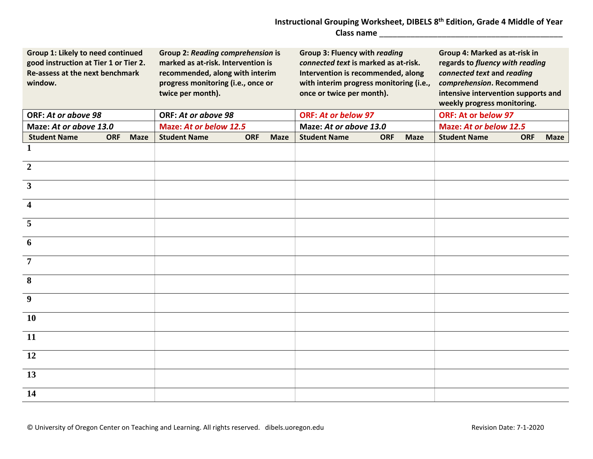## **Instructional Grouping Worksheet, DIBELS 8th Edition, Grade 4 Middle of Year Class name** \_\_\_\_\_\_\_\_\_\_\_\_\_\_\_\_\_\_\_\_\_\_\_\_\_\_\_\_\_\_\_\_\_\_\_\_\_\_\_\_\_

| Group 1: Likely to need continued<br>good instruction at Tier 1 or Tier 2.<br>Re-assess at the next benchmark<br>window. |            |             | <b>Group 2: Reading comprehension is</b><br>marked as at-risk. Intervention is<br>recommended, along with interim<br>progress monitoring (i.e., once or<br>twice per month). |            |             | <b>Group 3: Fluency with reading</b><br>connected text is marked as at-risk.<br>Intervention is recommended, along<br>with interim progress monitoring (i.e.,<br>once or twice per month). |            |             | Group 4: Marked as at-risk in<br>regards to fluency with reading<br>connected text and reading<br>comprehension. Recommend<br>intensive intervention supports and<br>weekly progress monitoring. |            |             |  |
|--------------------------------------------------------------------------------------------------------------------------|------------|-------------|------------------------------------------------------------------------------------------------------------------------------------------------------------------------------|------------|-------------|--------------------------------------------------------------------------------------------------------------------------------------------------------------------------------------------|------------|-------------|--------------------------------------------------------------------------------------------------------------------------------------------------------------------------------------------------|------------|-------------|--|
| ORF: At or above 98                                                                                                      |            |             | ORF: At or above 98                                                                                                                                                          |            |             | <b>ORF: At or below 97</b>                                                                                                                                                                 |            |             | ORF: At or below 97                                                                                                                                                                              |            |             |  |
| Maze: At or above 13.0                                                                                                   |            |             | Maze: At or below 12.5                                                                                                                                                       |            |             | Maze: At or above 13.0                                                                                                                                                                     |            |             | <b>Maze: At or below 12.5</b>                                                                                                                                                                    |            |             |  |
| <b>Student Name</b>                                                                                                      | <b>ORF</b> | <b>Maze</b> | <b>Student Name</b>                                                                                                                                                          | <b>ORF</b> | <b>Maze</b> | <b>Student Name</b>                                                                                                                                                                        | <b>ORF</b> | <b>Maze</b> | <b>Student Name</b>                                                                                                                                                                              | <b>ORF</b> | <b>Maze</b> |  |
| 1                                                                                                                        |            |             |                                                                                                                                                                              |            |             |                                                                                                                                                                                            |            |             |                                                                                                                                                                                                  |            |             |  |
| $\overline{2}$                                                                                                           |            |             |                                                                                                                                                                              |            |             |                                                                                                                                                                                            |            |             |                                                                                                                                                                                                  |            |             |  |
| $\mathbf{3}$                                                                                                             |            |             |                                                                                                                                                                              |            |             |                                                                                                                                                                                            |            |             |                                                                                                                                                                                                  |            |             |  |
| $\overline{\mathbf{4}}$                                                                                                  |            |             |                                                                                                                                                                              |            |             |                                                                                                                                                                                            |            |             |                                                                                                                                                                                                  |            |             |  |
| 5                                                                                                                        |            |             |                                                                                                                                                                              |            |             |                                                                                                                                                                                            |            |             |                                                                                                                                                                                                  |            |             |  |
| 6                                                                                                                        |            |             |                                                                                                                                                                              |            |             |                                                                                                                                                                                            |            |             |                                                                                                                                                                                                  |            |             |  |
| $\overline{7}$                                                                                                           |            |             |                                                                                                                                                                              |            |             |                                                                                                                                                                                            |            |             |                                                                                                                                                                                                  |            |             |  |
| 8                                                                                                                        |            |             |                                                                                                                                                                              |            |             |                                                                                                                                                                                            |            |             |                                                                                                                                                                                                  |            |             |  |
| 9                                                                                                                        |            |             |                                                                                                                                                                              |            |             |                                                                                                                                                                                            |            |             |                                                                                                                                                                                                  |            |             |  |
| 10                                                                                                                       |            |             |                                                                                                                                                                              |            |             |                                                                                                                                                                                            |            |             |                                                                                                                                                                                                  |            |             |  |
| 11                                                                                                                       |            |             |                                                                                                                                                                              |            |             |                                                                                                                                                                                            |            |             |                                                                                                                                                                                                  |            |             |  |
| 12                                                                                                                       |            |             |                                                                                                                                                                              |            |             |                                                                                                                                                                                            |            |             |                                                                                                                                                                                                  |            |             |  |
| 13                                                                                                                       |            |             |                                                                                                                                                                              |            |             |                                                                                                                                                                                            |            |             |                                                                                                                                                                                                  |            |             |  |
| 14                                                                                                                       |            |             |                                                                                                                                                                              |            |             |                                                                                                                                                                                            |            |             |                                                                                                                                                                                                  |            |             |  |